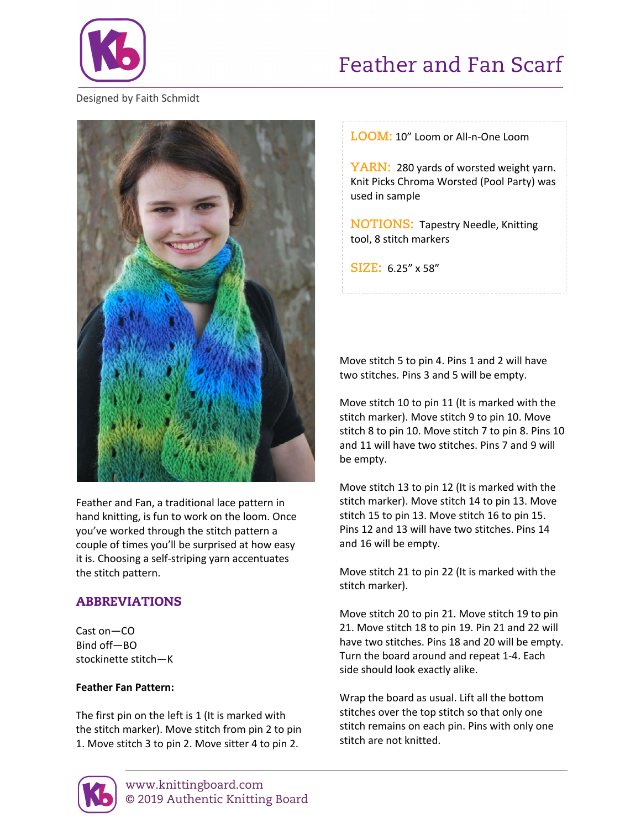

# Feather and Fan Scarf

#### Designed by Faith Schmidt



Feather and Fan, a traditional lace pattern in hand knitting, is fun to work on the loom. Once you've worked through the stitch pattern a couple of times you'll be surprised at how easy it is. Choosing a self-striping yarn accentuates the stitch pattern.

## ABBREVIATIONS

Cast on—CO Bind off—BO stockinette stitch—K

#### **Feather Fan Pattern:**

The first pin on the left is 1 (It is marked with the stitch marker). Move stitch from pin 2 to pin 1. Move stitch 3 to pin 2. Move sitter 4 to pin 2.

**LOOM:** 10" Loom or All-n-One Loom

YARN: 280 yards of worsted weight yarn. Knit Picks Chroma Worsted (Pool Party) was used in sample

**NOTIONS:** Tapestry Needle, Knitting tool, 8 stitch markers

**SIZE:** 6.25" x 58"

Move stitch 5 to pin 4. Pins 1 and 2 will have two stitches. Pins 3 and 5 will be empty.

Move stitch 10 to pin 11 (It is marked with the stitch marker). Move stitch 9 to pin 10. Move stitch 8 to pin 10. Move stitch 7 to pin 8. Pins 10 and 11 will have two stitches. Pins 7 and 9 will be empty.

Move stitch 13 to pin 12 (It is marked with the stitch marker). Move stitch 14 to pin 13. Move stitch 15 to pin 13. Move stitch 16 to pin 15. Pins 12 and 13 will have two stitches. Pins 14 and 16 will be empty.

Move stitch 21 to pin 22 (It is marked with the stitch marker).

Move stitch 20 to pin 21. Move stitch 19 to pin 21. Move stitch 18 to pin 19. Pin 21 and 22 will have two stitches. Pins 18 and 20 will be empty. Turn the board around and repeat 1-4. Each side should look exactly alike.

Wrap the board as usual. Lift all the bottom stitches over the top stitch so that only one stitch remains on each pin. Pins with only one stitch are not knitted.